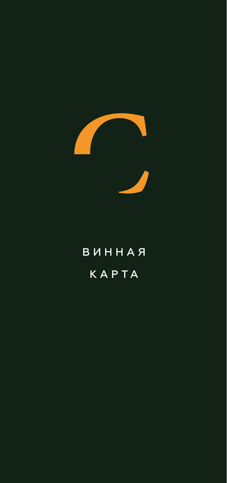

# ВИННАЯ КАРТА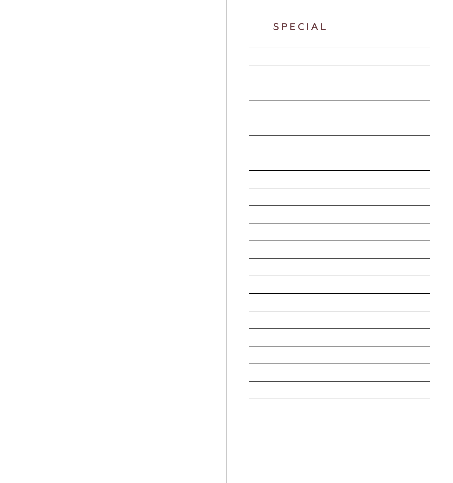# SPECIAL<u> 1989 - Johann Stoff, amerikansk politiker (\* 1908)</u>  $\overline{\phantom{a}}$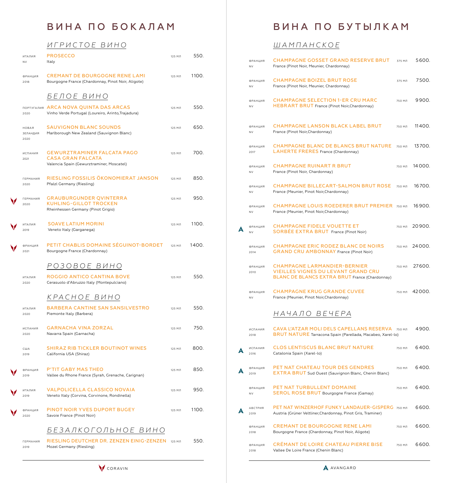# ВИНА ПО БОКАЛАМ

# *ИГРИСТОЕ ВИНО*

| ИТАЛИЯ<br><b>NV</b>              | PROSECCO<br>Italy                                                                                    | 125 МЛ | 550.  |
|----------------------------------|------------------------------------------------------------------------------------------------------|--------|-------|
| ФРАНЦИЯ<br>2018                  | <b>CREMANT DE BOURGOGNE RENE LAMI</b><br>Bourgogne France (Chardonnay, Pinot Noir, Aligote)          | 125 МЛ | 1100. |
|                                  | БЕЛОЕ ВИНО                                                                                           |        |       |
| 2020                             | <b>ПОРТУГАЛИЯ ARCA NOVA QUINTA DAS ARCAS</b><br>Vinho Verde Portugal (Loureiro, Arinto, Trajadura)   | 125 МЛ | 550.  |
| НОВАЯ<br><b>ЗЕЛАНДИЯ</b><br>2020 | <b>SAUVIGNON BLANC SOUNDS</b><br>Marlborough New Zealand (Sauvignon Blanc)                           | 125 МЛ | 650.  |
| ИСПАНИЯ<br>2021                  | GEWURZTRAMINER FALCATA PAGO<br><b>CASA GRAN FALCATA</b><br>Valencia Spain (Gewurztraminer, Moscatel) | 125 МЛ | 700.  |
| <b>ГЕРМАНИЯ</b><br>2020          | RIESLING FOSSILIS ÖKONOMIERAT JANSON<br>Pfalzl Germany (Riesling)                                    | 125 МЛ | 850.  |
| <b>ГЕРМАНИЯ</b><br>2020          | <b>GRAUBURGUNDER QVINTERRA</b><br>KUHLING-GILLOT TROCKEN<br>Rheinhessen Germany (Pinot Grigio)       | 125 МЛ | 950.  |
| ИТАЛИЯ<br>2019                   | <b>SOAVE LATIUM MORINI</b><br>Veneto Italy (Garganega)                                               | 125 МЛ | 1100. |
| ФРАНЦИЯ<br>2021                  | PETIT CHABLIS DOMAINE SÉGUINOT-BORDET<br>Bourgogne France (Chardonnay)                               | 125 МЛ | 1400. |
|                                  | РОЗОВОЕ ВИНО                                                                                         |        |       |
| ИТАЛИЯ<br>2020                   | ROGGIO ANTICO CANTINA BOVE<br>Cerasuolo d'Abruzzo Italy (Montepulciano)                              | 125 МЛ | 550.  |
|                                  | КРАСНОЕ ВИНО                                                                                         |        |       |
| ИТАЛИЯ<br>2020                   | <b>BARBERA CANTINE SAN SANSILVESTRO</b><br>Piemonte Italy (Barbera)                                  | 125 МЛ | 550.  |
| ИСПАНИЯ<br>2020                  | <b>GARNACHA VINA ZORZAL</b><br>Navarra Spain (Garnacha)                                              | 125 МЛ | 750.  |
| США<br>2019                      | <b>SHIRAZ RIB TICKLER BOUTINOT WINES</b><br>California USA (Shiraz)                                  | 125 МЛ | 800.  |
| ФРАНЦИЯ<br>2019                  | <b>P'TIT GABY MAS THEO</b><br>Vallee du Rhone France (Syrah, Grenache, Carignan)                     | 125 МЛ | 850.  |
| ИТАЛИЯ<br>2019                   | VALPOLICELLA CLASSICO NOVAIA<br>Veneto Italy (Corvina, Corvinone, Rondinella)                        | 125 МЛ | 950.  |
| ФРАНЦИЯ<br>2020                  | PINOT NOIR YVES DUPORT BUGEY<br>Savoie France (Pinot Noir)                                           | 125 МЛ | 1100. |
|                                  | БЕЗАЛКОГОЛЬНОЕ ВИНО                                                                                  |        |       |
| <b>ГЕРМАНИЯ</b><br>2019          | RIESLING DEUTCHER DR. ZENZEN EINIG-ZENZEN<br>Mozel Germany (Riesling)                                | 125 МЛ | 550.  |

# ВИНА ПО БУТЫЛКАМ

# *ШАМПАНСКОЕ*

| ФРАНЦИЯ<br><b>NV</b>        | <b>CHAMPAGNE GOSSET GRAND RESERVE BRUT</b><br>France (Pinot Noir, Meunier, Chardonnay)                                                     | 375 МЛ  | 5600.  |
|-----------------------------|--------------------------------------------------------------------------------------------------------------------------------------------|---------|--------|
| <b>ФРАНЦИЯ</b><br><b>NV</b> | <b>CHAMPAGNE BOIZEL BRUT ROSE</b><br>France (Pinot Noir, Meunier, Chardonnay)                                                              | 375 M J | 7500.  |
| ФРАНЦИЯ<br><b>NV</b>        | <b>CHAMPAGNE SELECTION 1-ER CRU MARC</b><br><b>HEBRART BRUT</b> France (Pinot Noir, Chardonnay)                                            | 750 МЛ  | 9900.  |
| ФРАНЦИЯ<br><b>NV</b>        | <b>CHAMPAGNE LANSON BLACK LABEL BRUT</b><br>France (Pinot Noir, Chardonnay)                                                                | 750 МЛ  | 11400. |
| ФРАНЦИЯ<br>2017             | <b>CHAMPAGNE BLANC DE BLANCS BRUT NATURE</b><br><b>LAHERTE FRERES France (Chardonnay)</b>                                                  | 750 МЛ  | 13700. |
| ФРАНЦИЯ<br><b>NV</b>        | <b>CHAMPAGNE RUINART R BRUT</b><br>France (Pinot Noir, Chardonnay)                                                                         | 750 МЛ  | 14000. |
| <b>ФРАНЦИЯ</b><br><b>NV</b> | <b>CHAMPAGNE BILLECART-SALMON BRUT ROSE</b><br>France (Meunier, Pinot Noir, Chardonnay)                                                    | 750 МЛ  | 16700. |
| <b>ФРАНЦИЯ</b><br>NV        | <b>CHAMPAGNE LOUIS ROEDERER BRUT PREMIER</b> 750 MJ<br>France (Meunier, Pinot Noir, Chardonnay)                                            |         | 16900. |
| ФРАНЦИЯ<br><b>NV</b>        | <b>CHAMPAGNE FIDELE VOUETTE ET</b><br>SORBÉE EXTRA BRUT France (Pinot Noir)                                                                | 750 МЛ  | 20900. |
| ФРАНЦИЯ<br>2014             | <b>CHAMPAGNE ERIC RODEZ BLANC DE NOIRS</b><br><b>GRAND CRU AMBONNAY France (Pinot Noir)</b>                                                | 750 МЛ  | 24000. |
| ФРАНЦИЯ<br>2010             | <b>CHAMPAGNE LARMANDIER-BERNIER</b><br><b>VIEILLES VIGNES DU LEVANT GRAND CRU</b><br><b>BLANC DE BLANCS EXTRA BRUT France (Chardonnay)</b> | 750 МЛ  | 27600. |
| ФРАНЦИЯ<br><b>NV</b>        | <b>CHAMPAGNE KRUG GRANDE CUVEE</b><br>France (Meunier, Pinot Noir, Chardonnay)                                                             | 750 МЛ  | 42000. |
|                             | НАЧАЛО ВЕЧЕРА                                                                                                                              |         |        |
| <b>ИСПАНИЯ</b><br>2018      | CAVA L'ATZAR MOLI DELS CAPELLANS RESERVA<br><b>BRUT NATURE</b> Tarracona Spain (Parellada, Macabeo, Xarel-lo)                              | 750 M J | 4900.  |
| <b>ИСПАНИЯ</b><br>2016      | <b>CLOS LENTISCUS BLANC BRUT NATURE</b><br>Catalonia Spain (Xarel-lo)                                                                      | 750 MJ  | 6400.  |
| ФРАНЦИЯ<br>2019             | PET NAT CHATEAU TOUR DES GENDRES<br><b>EXTRA BRUT</b> Sud Ouest (Sauvignon Blanc, Chenin Blanc)                                            | 750 МЛ  | 6400.  |
| ФРАНЦИЯ<br><b>NV</b>        | <b>PET NAT TURBULLENT DOMAINE</b><br><b>SEROL ROSE BRUT</b> Bourgogne France (Gamay)                                                       | 750 МЛ  | 6400.  |
| АВСТРИЯ<br>2019             | <b>PET NAT WINZERHOF FUNKY LANDAUER-GISPERG 750 MJT</b><br>Austria (Grüner Veltliner, Chardonnay, Pinot Gris, Traminer)                    |         | 6600.  |
| ФРАНЦИЯ<br>2018             | <b>CREMANT DE BOURGOGNE RENE LAMI</b><br>Bourgogne France (Chardonnay, Pinot Noir, Aligote)                                                | 750 МЛ  | 6600.  |
| <b>ФРАНЦИЯ</b><br>2018      | CRÉMANT DE LOIRE CHATEAU PIERRE BISE<br>Vallee De Loire France (Chenin Blanc)                                                              | 750 МЛ  | 6600.  |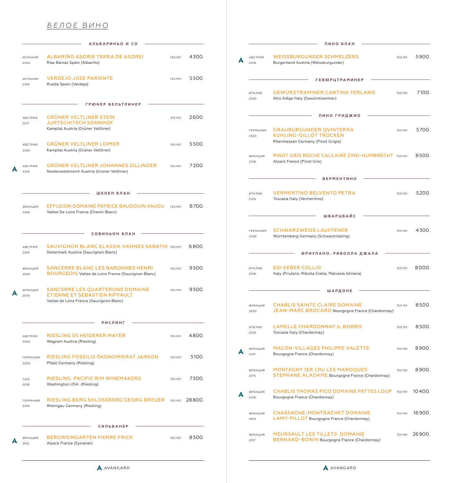# *БЕЛОЕ ВИНО*

|                         | АЛЬБАРИНЬО И СО                                                                                              |        |        |
|-------------------------|--------------------------------------------------------------------------------------------------------------|--------|--------|
| ИСПАНИЯ<br>2020         | ALBARIÑO ASORIE TERRA DE ASOREI<br>Rías Baixas Spain (Albariño)                                              | 750 МЛ | 4300.  |
| ИСПАНИЯ<br>2019         | <b>VERDEJO JOSE PARIENTE</b><br>Rueda Spain (Verdejo)                                                        | 750 МЛ | 5500.  |
|                         | ГРЮНЕР ВЕЛЬТЛИНЕР                                                                                            |        |        |
| АВСТРИЯ<br>2017         | <b>GRÜNER VELTLINER STEIN</b><br><b>JURTSCHITSCH SONNHOF</b><br>Kamptal Austria (Grüner Veltliner)           | 375 MJ | 2600.  |
| <b>АВСТРИЯ</b><br>2020  | <b>GRÜNER VELTLINER LOIMER</b><br>Kamptal Austria (Grüner Veltliner)                                         | 750 МЛ | 5500.  |
| АВСТРИЯ<br>2018         | <b>GRÜNER VELTLINER JOHANNES ZILLINGER</b><br>Niederoesterreich Austria (Grüner Veltliner)                   | 750 МЛ | 7200.  |
|                         | ШЕНЕН БЛАН                                                                                                   |        |        |
| ФРАНЦИЯ<br>2018         | EFFUSION DOMAINE PATRICK BAUDOUIN ANJOU<br>Vallee De Loire France (Chenin Blanc)                             | 750 МЛ | 8700.  |
|                         | СОВИНЬОН БЛАН                                                                                                |        |        |
| АВСТРИЯ<br>2019         | <b>SAUVIGNON BLANC KLASSIK HANNES SABATHI 750 MJI</b><br>Steiermark Austria (Sauvignon Blanc)                |        | 6800.  |
| ФРАНЦИЯ<br>2020         | <b>SANCERRE BLANC LES BARONNES HENRI</b><br><b>BOURGEOIS</b> Vallee de Loire France (Sauvignon Blanc)        | 750 МЛ | 9500.  |
| ФРАНЦИЯ<br>2019         | SANCERRE LES QUARTERONS DOMAINE<br>ETIENNE ET SEBASTIEN RIFFAULT<br>Vallee de Loire France (Sauvignon Blanc) | 750 МЛ | 9500.  |
|                         | <b>РИСЛИНГ</b>                                                                                               |        |        |
| <b>АВСТРИЯ</b><br>2020  | RIESLING 05 HEIDERER MAYER<br>Wagram Austria (Riesling)                                                      | 750 МЛ | 4800.  |
| <b>ГЕРМАНИЯ</b><br>2020 | RIESLING FOSSILIS ÖKONOMIERAT JANSON<br>Pfalzl Germany (Riesling)                                            | 750 МЛ | 5100.  |
| США<br>2018             | RIESLING PACIFIC RIM WINEMAKERS<br>Washington USA (Riesling)                                                 | 750 МЛ | 7500.  |
| <b>ГЕРМАНИЯ</b><br>2019 | RIESLING BERG SHLOSSBERG GEORG BREUER<br>Rheingau Germany (Riesling)                                         | 750 МЛ | 28800. |
|                         | <b>СИЛЬВАНЕР</b>                                                                                             |        |        |
| <b>ФРАНЦИЯ</b>          | <b>BERGWEINGARTEN PIERRE FRICK</b>                                                                           | 750 МЛ | 8500.  |

| <b>WEISSBURGUNDER SCHMELZERS</b><br>750 МЛ<br>АВСТРИЯ<br>Burgenland Austria (Weissburgunder)<br>2018<br><b>ГЕВЮРЦТРАМИНЕР</b><br><b>GEWÜRZTRAMINER CANTINA TERLANO</b><br>ИТАЛИЯ<br>750 МЛ<br>Alto Adige Italy (Gewürztraminer)<br>2020 | 5900.  |
|-----------------------------------------------------------------------------------------------------------------------------------------------------------------------------------------------------------------------------------------|--------|
|                                                                                                                                                                                                                                         |        |
|                                                                                                                                                                                                                                         |        |
|                                                                                                                                                                                                                                         | 7100.  |
| ПИНО ГРИДЖИО                                                                                                                                                                                                                            |        |
| <b>GRAUBURGUNDER QVINTERRA</b><br><b>ГЕРМАНИЯ</b><br>750 МЛ<br><b>KUHLING-GILLOT TROCKEN</b><br>2020<br>Rheinhessen Germany (Pinot Grigio)                                                                                              | 5700.  |
| PINOT GRIS ROCHE CALCAIRE ZIND-HUMBRECHT 750 MJ<br>ФРАНЦИЯ<br>Alsace France (Pinot Gris)<br>2016                                                                                                                                        | 8500.  |
| <b>BEPMEHTHHO</b>                                                                                                                                                                                                                       |        |
| <b>VERMENTINO BELVENTO PETRA</b><br>ИТАЛИЯ<br>750 МЛ<br>Toscana Italy (Vermentino)<br>2019                                                                                                                                              | 5200.  |
| ШВАРЦВАЙС                                                                                                                                                                                                                               |        |
| <b>SCHWARZWEISS LAUFFENER</b><br><b>ГЕРМАНИЯ</b><br>750 МЛ<br>Württemberg Germany (Schwarzriesling)<br>2020                                                                                                                             | 4300.  |
| ФРИУЛАНО. РИБОЛЛА ДЖАЛА                                                                                                                                                                                                                 |        |
| <b>EDI KEBER COLLIO</b><br>750 МЛ<br>ИТАЛИЯ<br>Italy (Friulano, Ribolla Gialla, Malvasia Istriana)<br>2018                                                                                                                              | 8000.  |
| ШАРДОНЕ                                                                                                                                                                                                                                 |        |
| <b>CHABLIS SAINTE CLAIRE DOMAINE</b><br>ФРАНЦИЯ<br>750 МЛ<br>JEAN-MARC BROCARD Bourgogne France (Chardonnay)<br>2020                                                                                                                    | 8500.  |
| <b>LAMELLE CHARDONNAY IL BORRO</b><br>750 МЛ<br>ИТАЛИЯ<br>Toscana Italy (Chardonnay)<br>2019                                                                                                                                            | 8500.  |
| MACON-VILLAGES PHILIPPE VALETTE<br>750 МЛ<br>ФРАНЦИЯ<br>Bourgogne France (Chardonnay)<br>2017                                                                                                                                           | 8900.  |
|                                                                                                                                                                                                                                         | 8900.  |
| <b>MONTAGNY 1ER CRU LES MAROQUES</b><br>750 МЛ<br>ФРАНЦИЯ<br><b>STEPHANE ALADAME</b> Bourgogne France (Chardonnay)<br>2015                                                                                                              |        |
| <b>CHABLIS THOMAS PICO DOMAINE PATTES LOUP</b><br>750 МЛ<br>ФРАНЦИЯ<br>Bourgogne France (Chardonnay)<br>2018                                                                                                                            | 10400. |
| <b>CHASSAGNE-MONTRACHET DOMAINE</b><br>750 МЛ<br>ФРАНЦИЯ<br>LAMY-PILLOT Bourgogne France (Chardonnay)<br>2019                                                                                                                           | 16900. |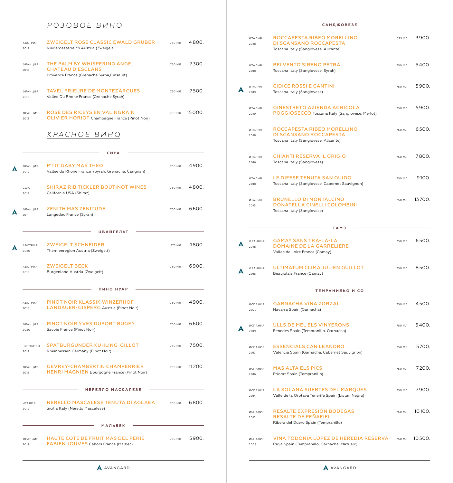### *РОЗОВОЕ ВИНО*

| АВСТРИЯ<br>2019         | <b>ZWEIGELT ROSE CLASSIC EWALD GRUBER</b><br>Niederoesterreich Austria (Zweigelt)                       | 750 МЛ  | 4800.  |
|-------------------------|---------------------------------------------------------------------------------------------------------|---------|--------|
| <b>ФРАНЦИЯ</b><br>2018  | THE PALM BY WHISPERING ANGEL<br><b>CHATEAU D'ESCLANS</b><br>Provance France (Grenache, Syrha, Cinsault) | 750 МЛ  | 7300.  |
| ФРАНЦИЯ<br>2018         | <b>TAVEL PRIEURE DE MONTEZARGUES</b><br>Vallee Du Rhone France (Grenache, Syrah)                        | 750 МЛ  | 7500.  |
| ФРАНЦИЯ<br>2013         | ROSE DES RICEYS EN VALINGRAIN<br><b>OLIVIER HORIOT</b> Champagne France (Pinot Noir)                    | 750 МЛ  | 15000. |
|                         | КРАСНОЕ ВИНО                                                                                            |         |        |
|                         | СИРА                                                                                                    |         |        |
| ФРАНЦИЯ<br>2019         | <b>P'TIT GABY MAS THEO</b><br>Vallee du Rhone France (Syrah, Grenache, Carignan)                        | 750 МЛ  | 4900.  |
| США<br>2019             | <b>SHIRAZ RIB TICKLER BOUTINOT WINES</b><br>California USA (Shiraz)                                     | 750 МЛ  | 4800.  |
| ФРАНЦИЯ<br>2011         | <b>ZENITH MAS ZENITUDE</b><br>Langedoc France (Syrah)                                                   | 750 МЛ  | 6600.  |
|                         | <b>ЦВАЙГЕЛЬТ</b>                                                                                        |         |        |
| АВСТРИЯ<br>2020         | <b>ZWEIGELT SCHNEIDER</b><br>Thermenregion Austria (Zweigelt)                                           | 375 M J | 1800.  |
| АВСТРИЯ<br>2018         | <b>ZWEIGELT BECK</b><br>Burgenland Austria (Zweigelt)                                                   | 750 МЛ  | 6900.  |
|                         | ПИНО НУАР                                                                                               |         |        |
| <b>АВСТРИЯ</b><br>2018  | PINOT NOIR KLASSIK WINZERHOF<br>LANDAUER-GISPERG Austria (Pinot Noir)                                   | 750 МЛ  | 4900.  |
| ФРАНЦИЯ<br>2020         | <b>PINOT NOIR YVES DUPORT BUGEY</b><br>Savoie France (Pinot Noir)                                       | 750 МЛ  | 6600.  |
| <b>ГЕРМАНИЯ</b><br>2017 | <b>SPATBURGUNDER KUHLING-GILLOT</b><br>Rheinhessen Germany (Pinot Noir)                                 | 750 МЛ  | 7500.  |
| ФРАНЦИЯ<br>2015         | <b>GEVREY-CHAMBERTIN CHAMPERRIER</b><br><b>HENRI MAGNIEN</b> Bourgogne France (Pinot Noir)              | 750 МЛ  | 11200. |
|                         | НЕРЕЛЛО МАСКАЛЕЗЕ                                                                                       |         |        |
| ИТАЛИЯ<br>2019          | NERELLO MASCALESE TENUTA DI AGLAEA<br>Sicilia Italy (Nerello Mascalese)                                 | 750 МЛ  | 6800.  |
|                         | <b>МАЛЬБЕК</b>                                                                                          |         |        |
| ФРАНЦИЯ<br>2019         | <b>HAUTE COTE DE FRUIT MAS DEL PERIE</b><br><b>FABIEN JOUVES</b> Cahors France (Malbec)                 | 750 МЛ  | 5900.  |
|                         |                                                                                                         |         |        |

### ИТАЛИЯ ROCCAPESTA RIBEO MORELLINO 375 МЛ 3900. <sup>2018</sup> DI SCANSANO ROCCAPESTA Toscana Italy (Sangiovese, Alicante) ИТАЛИЯ BELVENTO SIRENO PETRA 750 МЛ 5 400. 2018 Toscana Italy (Sangiovese, Syrah) ИТАЛИЯ CIDICE ROSSI E CANTINI 750 МЛ 5900. Toscana Italy (Sangiovese) ИТАЛИЯ GINESTRETO AZIENDA AGRICOLA 750 МЛ 5900. <sup>2019</sup> POGGIOSECCO Toscana Italy (Sangiovese, Merlot) ИТАЛИЯ ROCCAPESTA RIBEO MORELLINO 750 МЛ 6 500. <sup>2018</sup> DI SCANSANO ROCCAPESTA Toscana Italy (Sangiovese, Alicante) ИТАЛИЯ CHIANTI RESERVA IL GRIGIO 750 МЛ 7800. 2016 Toscana Italy (Sangiovese) ИТАЛИЯ LE DIFESE TENUTA SAN GUIDO 750 МЛ 9 100. 2018 Toscana Italy (Sangiovese, Cabernet Sauvignon) ИТАЛИЯ BRUNELLO DI MONTALCINO 750 МЛ 13 700. <sup>2015</sup> DONATELLA CINELLI COLOMBINI Toscana Italy (Sangiovese) **ГА М Э** ФРАНЦИЯ **GAMAY SANS TRA-LA-LA** 750 МЛ 6500. <sup>2018</sup> DOMAINE DE LA GARRELIERE Vallee de Loire France (Gamay) ФРАНЦИЯ **ULTIMATUM CLIMA JULIEN GUILLOT** 750 МЛ 8500. 2016 Beaujolais France (Gamay) **ТЕМРАНИЛЬО И СО** ИСПАНИЯ **GARNACHA VINA ZORZAL** 750 МЛ 4500. 2020 Navarra Spain (Garnacha) ИСПАНИЯ ULLS DE MEL ELS VINYERONS 750 МЛ 5 400. 2019 Penedes Spain (Tempranillo, Garnacha) ИСПАНИЯ ESSENCIALS CAN LEANDRO 750 МЛ 5 700. 2017 Valencia Spain (Garnacha, Cabernet Sauvignon) ИСПАНИЯ MAS ALTA ELS PICS 750 МЛ 7 200. 2016 Priorat Spain (Tempranillo) ИСПАНИЯ LA SOLANA SUERTES DEL MARQUES 750 МЛ 7900. 2014 Valle de la Orotava Tenerife Spain (Listan Negro) ИСПАНИЯ RESALTE EXPRESIÓN BODEGAS 750 МЛ 10100. 2012 RESALTE DE PEÑAFIEL Ribera del Duero Spain (Tempranillo) ИСПАНИЯ **VINA TODONIA LOPEZ DE HEREDIA RESERVA** 750 МЛ 10500. 2008 Rioja Spain (Tempranillo, Garnacha, Mazuelo) **А А А А**

**САНДЖОВЕЗЕ**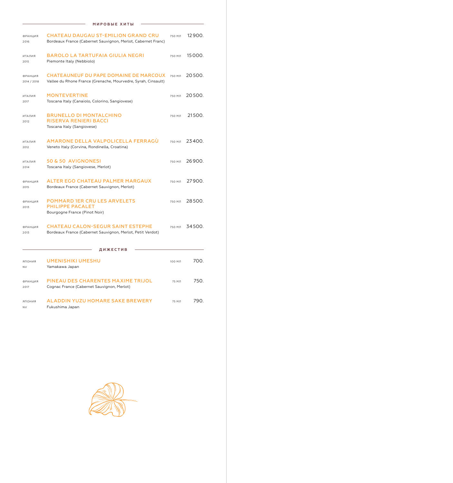|                               | МИРОВЫЕ ХИТЫ                                                                                               |               |        |  |  |  |
|-------------------------------|------------------------------------------------------------------------------------------------------------|---------------|--------|--|--|--|
| ФРАНЦИЯ<br>2016               | <b>CHATEAU DAUGAU ST-EMILION GRAND CRU</b><br>Bordeaux France (Cabernet Sauvignon, Merlot, Cabernet Franc) | 750 МЛ        | 12900. |  |  |  |
| ИТАЛИЯ<br>2015                | <b>BAROLO LA TARTUFAIA GIULIA NEGRI</b><br>Piemonte Italy (Nebbiolo)                                       | 750 МЛ        | 15000. |  |  |  |
| <b>ФРАНЦИЯ</b><br>2014 / 2018 | CHATEAUNEUF DU PAPE DOMAINE DE MARCOUX<br>Vallee du Rhone France (Grenache, Mourvedre, Syrah, Cinsault)    | 750 МЛ        | 20500. |  |  |  |
| ИТАЛИЯ<br>2017                | <b>MONTEVERTINE</b><br>Toscana Italy (Canaiolo, Colorino, Sangiovese)                                      | 750 МЛ        | 20500. |  |  |  |
| ИТАЛИЯ<br>2012                | <b>BRUNELLO DI MONTALCHINO</b><br>RISERVA RENIERI BACCI<br>Toscana Italy (Sangiovese)                      | 750 МЛ        | 21500. |  |  |  |
| ИТАЛИЯ<br>2012                | AMARONE DELLA VALPOLICELLA FERRAGU<br>Veneto Italy (Corvina, Rondinella, Croatina)                         | 750 МЛ        | 23400. |  |  |  |
| ИТАЛИЯ<br>2014                | 50 & 50 AVIGNONESI<br>Toscana Italy (Sangiovese, Merlot)                                                   | 750 МЛ        | 26900. |  |  |  |
| ФРАНЦИЯ<br>2015               | ALTER EGO CHATEAU PALMER MARGAUX<br>Bordeaux France (Cabernet Sauvignon, Merlot)                           | 750 МЛ        | 27900. |  |  |  |
| ФРАНЦИЯ<br>2013               | POMMARD 1ER CRU LES ARVELETS<br><b>PHILIPPE PACALET</b><br>Bourgogne France (Pinot Noir)                   | 750 МЛ        | 28500. |  |  |  |
| ФРАНЦИЯ<br>2013               | <b>CHATEAU CALON-SEGUR SAINT ESTEPHE</b><br>Bordeaux France (Cabernet Sauvignon, Merlot, Petit Verdot)     | <b>750 MJ</b> | 34500. |  |  |  |
| ДИЖЕСТИВ                      |                                                                                                            |               |        |  |  |  |
| ЯПОНИЯ<br><b>NV</b>           | <b>UMENISHIKI UMESHU</b><br>Yamakawa Japan                                                                 | 100 МЛ        | 700.   |  |  |  |
| ФРАНЦИЯ<br>2017               | PINEAU DES CHARENTES MAXIME TRIJOL<br>Cognac France (Cabernet Sauvignon, Merlot)                           | 75 МЛ         | 750.   |  |  |  |
| ЯПОНИЯ<br><b>NV</b>           | ALADDIN YUZU HOMARE SAKE BREWERY<br>Fukushima Japan                                                        | 75 МЛ         | 790.   |  |  |  |